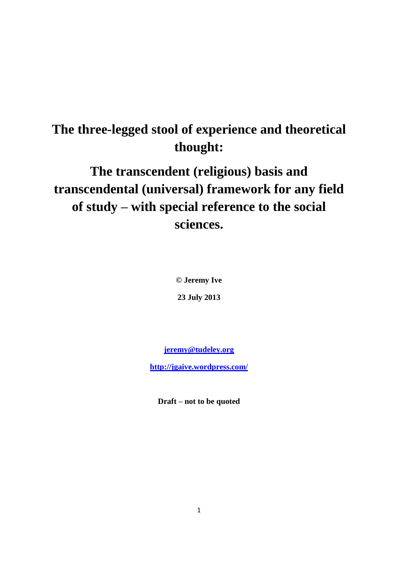## **The three-legged stool of experience and theoretical thought:**

# **The transcendent (religious) basis and transcendental (universal) framework for any field of study – with special reference to the social sciences.**

**© Jeremy Ive**

**23 July 2013**

**[jeremy@tudeley.org](mailto:jeremy@tudeley.org)**

**<http://jgaive.wordpress.com/>**

**Draft – not to be quoted**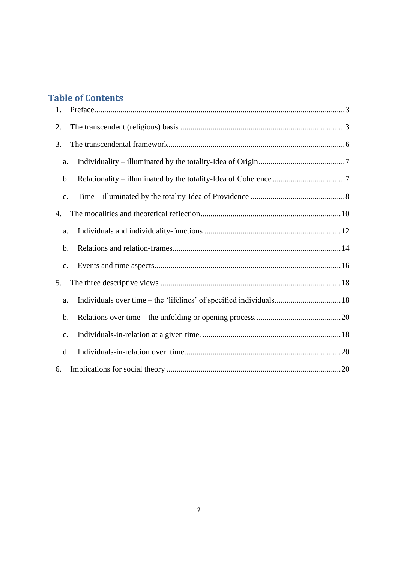## **Table of Contents**

| 1. |                                                                     |
|----|---------------------------------------------------------------------|
| 2. |                                                                     |
| 3. |                                                                     |
| a. |                                                                     |
| b. |                                                                     |
| c. |                                                                     |
| 4. |                                                                     |
| a. |                                                                     |
| b. |                                                                     |
| c. |                                                                     |
| 5. |                                                                     |
| a. | Individuals over time – the 'lifelines' of specified individuals 18 |
| b. |                                                                     |
| c. |                                                                     |
| d. |                                                                     |
| 6. |                                                                     |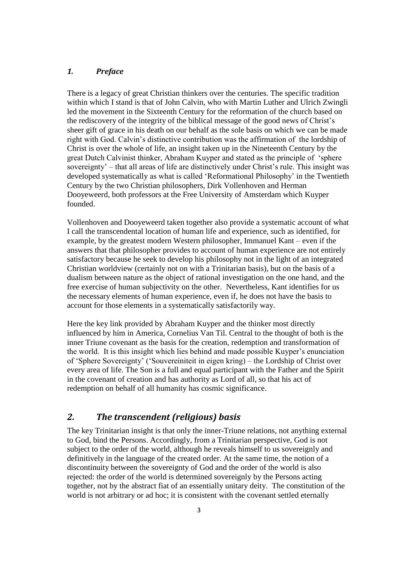#### <span id="page-2-0"></span>*1. Preface*

There is a legacy of great Christian thinkers over the centuries. The specific tradition within which I stand is that of John Calvin, who with Martin Luther and Ulrich Zwingli led the movement in the Sixteenth Century for the reformation of the church based on the rediscovery of the integrity of the biblical message of the good news of Christ's sheer gift of grace in his death on our behalf as the sole basis on which we can be made right with God. Calvin's distinctive contribution was the affirmation of the lordship of Christ is over the whole of life, an insight taken up in the Nineteenth Century by the great Dutch Calvinist thinker, Abraham Kuyper and stated as the principle of 'sphere sovereignty' – that all areas of life are distinctively under Christ's rule. This insight was developed systematically as what is called 'Reformational Philosophy' in the Twentieth Century by the two Christian philosophers, Dirk Vollenhoven and Herman Dooyeweerd, both professors at the Free University of Amsterdam which Kuyper founded.

Vollenhoven and Dooyeweerd taken together also provide a systematic account of what I call the transcendental location of human life and experience, such as identified, for example, by the greatest modern Western philosopher, Immanuel Kant – even if the answers that that philosopher provides to account of human experience are not entirely satisfactory because he seek to develop his philosophy not in the light of an integrated Christian worldview (certainly not on with a Trinitarian basis), but on the basis of a dualism between nature as the object of rational investigation on the one hand, and the free exercise of human subjectivity on the other. Nevertheless, Kant identifies for us the necessary elements of human experience, even if, he does not have the basis to account for those elements in a systematically satisfactorily way.

Here the key link provided by Abraham Kuyper and the thinker most directly influenced by him in America, Cornelius Van Til. Central to the thought of both is the inner Triune covenant as the basis for the creation, redemption and transformation of the world. It is this insight which lies behind and made possible Kuyper's enunciation of 'Sphere Sovereignty' ('Souvereiniteit in eigen kring) – the Lordship of Christ over every area of life. The Son is a full and equal participant with the Father and the Spirit in the covenant of creation and has authority as Lord of all, so that his act of redemption on behalf of all humanity has cosmic significance.

## <span id="page-2-1"></span>*2. The transcendent (religious) basis*

The key Trinitarian insight is that only the inner-Triune relations, not anything external to God, bind the Persons. Accordingly, from a Trinitarian perspective, God is not subject to the order of the world, although he reveals himself to us sovereignly and definitively in the language of the created order. At the same time, the notion of a discontinuity between the sovereignty of God and the order of the world is also rejected: the order of the world is determined sovereignly by the Persons acting together, not by the abstract fiat of an essentially unitary deity. The constitution of the world is not arbitrary or ad hoc; it is consistent with the covenant settled eternally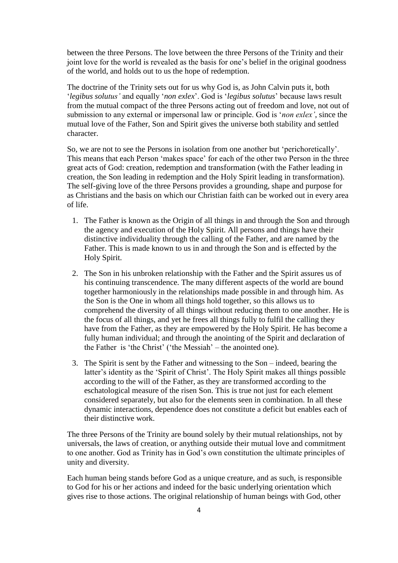between the three Persons. The love between the three Persons of the Trinity and their joint love for the world is revealed as the basis for one's belief in the original goodness of the world, and holds out to us the hope of redemption.

The doctrine of the Trinity sets out for us why God is, as John Calvin puts it, both '*legibus solutus'* and equally '*non exlex*'. God is '*legibus solutus*' because laws result from the mutual compact of the three Persons acting out of freedom and love, not out of submission to any external or impersonal law or principle. God is '*non exlex'*, since the mutual love of the Father, Son and Spirit gives the universe both stability and settled character.

So, we are not to see the Persons in isolation from one another but 'perichoretically'. This means that each Person 'makes space' for each of the other two Person in the three great acts of God: creation, redemption and transformation (with the Father leading in creation, the Son leading in redemption and the Holy Spirit leading in transformation). The self-giving love of the three Persons provides a grounding, shape and purpose for as Christians and the basis on which our Christian faith can be worked out in every area of life.

- 1. The Father is known as the Origin of all things in and through the Son and through the agency and execution of the Holy Spirit. All persons and things have their distinctive individuality through the calling of the Father, and are named by the Father. This is made known to us in and through the Son and is effected by the Holy Spirit.
- 2. The Son in his unbroken relationship with the Father and the Spirit assures us of his continuing transcendence. The many different aspects of the world are bound together harmoniously in the relationships made possible in and through him. As the Son is the One in whom all things hold together, so this allows us to comprehend the diversity of all things without reducing them to one another. He is the focus of all things, and yet he frees all things fully to fulfil the calling they have from the Father, as they are empowered by the Holy Spirit. He has become a fully human individual; and through the anointing of the Spirit and declaration of the Father is 'the Christ' ('the Messiah' – the anointed one).
- 3. The Spirit is sent by the Father and witnessing to the Son indeed, bearing the latter's identity as the 'Spirit of Christ'. The Holy Spirit makes all things possible according to the will of the Father, as they are transformed according to the eschatological measure of the risen Son. This is true not just for each element considered separately, but also for the elements seen in combination. In all these dynamic interactions, dependence does not constitute a deficit but enables each of their distinctive work.

The three Persons of the Trinity are bound solely by their mutual relationships, not by universals, the laws of creation, or anything outside their mutual love and commitment to one another. God as Trinity has in God's own constitution the ultimate principles of unity and diversity.

Each human being stands before God as a unique creature, and as such, is responsible to God for his or her actions and indeed for the basic underlying orientation which gives rise to those actions. The original relationship of human beings with God, other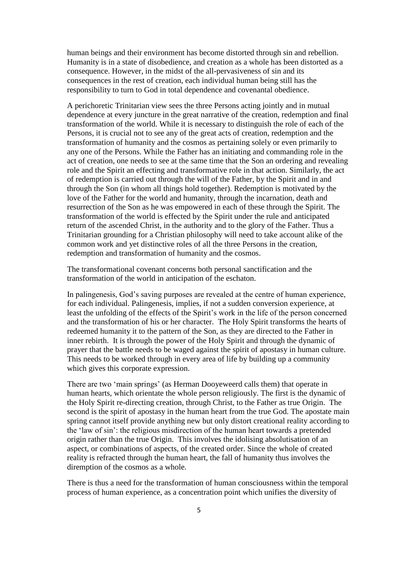human beings and their environment has become distorted through sin and rebellion. Humanity is in a state of disobedience, and creation as a whole has been distorted as a consequence. However, in the midst of the all-pervasiveness of sin and its consequences in the rest of creation, each individual human being still has the responsibility to turn to God in total dependence and covenantal obedience.

A perichoretic Trinitarian view sees the three Persons acting jointly and in mutual dependence at every juncture in the great narrative of the creation, redemption and final transformation of the world. While it is necessary to distinguish the role of each of the Persons, it is crucial not to see any of the great acts of creation, redemption and the transformation of humanity and the cosmos as pertaining solely or even primarily to any one of the Persons. While the Father has an initiating and commanding role in the act of creation, one needs to see at the same time that the Son an ordering and revealing role and the Spirit an effecting and transformative role in that action. Similarly, the act of redemption is carried out through the will of the Father, by the Spirit and in and through the Son (in whom all things hold together). Redemption is motivated by the love of the Father for the world and humanity, through the incarnation, death and resurrection of the Son as he was empowered in each of these through the Spirit. The transformation of the world is effected by the Spirit under the rule and anticipated return of the ascended Christ, in the authority and to the glory of the Father. Thus a Trinitarian grounding for a Christian philosophy will need to take account alike of the common work and yet distinctive roles of all the three Persons in the creation, redemption and transformation of humanity and the cosmos.

The transformational covenant concerns both personal sanctification and the transformation of the world in anticipation of the eschaton.

In palingenesis, God's saving purposes are revealed at the centre of human experience, for each individual. Palingenesis, implies, if not a sudden conversion experience, at least the unfolding of the effects of the Spirit's work in the life of the person concerned and the transformation of his or her character. The Holy Spirit transforms the hearts of redeemed humanity it to the pattern of the Son, as they are directed to the Father in inner rebirth. It is through the power of the Holy Spirit and through the dynamic of prayer that the battle needs to be waged against the spirit of apostasy in human culture. This needs to be worked through in every area of life by building up a community which gives this corporate expression.

There are two 'main springs' (as Herman Dooyeweerd calls them) that operate in human hearts, which orientate the whole person religiously. The first is the dynamic of the Holy Spirit re-directing creation, through Christ, to the Father as true Origin. The second is the spirit of apostasy in the human heart from the true God. The apostate main spring cannot itself provide anything new but only distort creational reality according to the 'law of sin': the religious misdirection of the human heart towards a pretended origin rather than the true Origin. This involves the idolising absolutisation of an aspect, or combinations of aspects, of the created order. Since the whole of created reality is refracted through the human heart, the fall of humanity thus involves the diremption of the cosmos as a whole.

There is thus a need for the transformation of human consciousness within the temporal process of human experience, as a concentration point which unifies the diversity of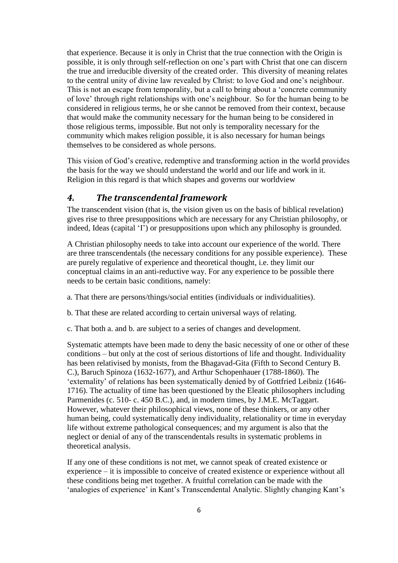that experience. Because it is only in Christ that the true connection with the Origin is possible, it is only through self-reflection on one's part with Christ that one can discern the true and irreducible diversity of the created order. This diversity of meaning relates to the central unity of divine law revealed by Christ: to love God and one's neighbour. This is not an escape from temporality, but a call to bring about a 'concrete community of love' through right relationships with one's neighbour. So for the human being to be considered in religious terms, he or she cannot be removed from their context, because that would make the community necessary for the human being to be considered in those religious terms, impossible. But not only is temporality necessary for the community which makes religion possible, it is also necessary for human beings themselves to be considered as whole persons.

This vision of God's creative, redemptive and transforming action in the world provides the basis for the way we should understand the world and our life and work in it. Religion in this regard is that which shapes and governs our worldview

## <span id="page-5-0"></span>*4. The transcendental framework*

The transcendent vision (that is, the vision given us on the basis of biblical revelation) gives rise to three presuppositions which are necessary for any Christian philosophy, or indeed, Ideas (capital 'I') or presuppositions upon which any philosophy is grounded.

A Christian philosophy needs to take into account our experience of the world. There are three transcendentals (the necessary conditions for any possible experience). These are purely regulative of experience and theoretical thought, i.e. they limit our conceptual claims in an anti-reductive way. For any experience to be possible there needs to be certain basic conditions, namely:

- a. That there are persons/things/social entities (individuals or individualities).
- b. That these are related according to certain universal ways of relating.
- c. That both a. and b. are subject to a series of changes and development.

Systematic attempts have been made to deny the basic necessity of one or other of these conditions – but only at the cost of serious distortions of life and thought. Individuality has been relativised by monists, from the Bhagavad-Gita (Fifth to Second Century B. C.), Baruch Spinoza (1632-1677), and Arthur Schopenhauer (1788-1860). The 'externality' of relations has been systematically denied by of Gottfried Leibniz (1646- 1716). The actuality of time has been questioned by the Eleatic philosophers including Parmenides (c. 510- c. 450 B.C.), and, in modern times, by J.M.E. McTaggart. However, whatever their philosophical views, none of these thinkers, or any other human being, could systematically deny individuality, relationality or time in everyday life without extreme pathological consequences; and my argument is also that the neglect or denial of any of the transcendentals results in systematic problems in theoretical analysis.

If any one of these conditions is not met, we cannot speak of created existence or experience – it is impossible to conceive of created existence or experience without all these conditions being met together. A fruitful correlation can be made with the 'analogies of experience' in Kant's Transcendental Analytic. Slightly changing Kant's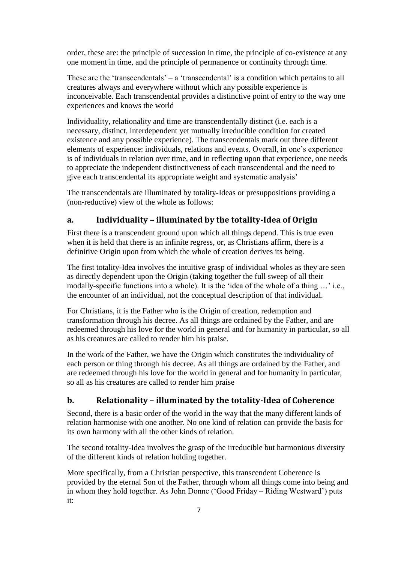order, these are: the principle of succession in time, the principle of co-existence at any one moment in time, and the principle of permanence or continuity through time.

These are the 'transcendentals' – a 'transcendental' is a condition which pertains to all creatures always and everywhere without which any possible experience is inconceivable. Each transcendental provides a distinctive point of entry to the way one experiences and knows the world

Individuality, relationality and time are transcendentally distinct (i.e. each is a necessary, distinct, interdependent yet mutually irreducible condition for created existence and any possible experience). The transcendentals mark out three different elements of experience: individuals, relations and events. Overall, in one's experience is of individuals in relation over time, and in reflecting upon that experience, one needs to appreciate the independent distinctiveness of each transcendental and the need to give each transcendental its appropriate weight and systematic analysis'

The transcendentals are illuminated by totality-Ideas or presuppositions providing a (non-reductive) view of the whole as follows:

## <span id="page-6-0"></span>**a. Individuality – illuminated by the totality-Idea of Origin**

First there is a transcendent ground upon which all things depend. This is true even when it is held that there is an infinite regress, or, as Christians affirm, there is a definitive Origin upon from which the whole of creation derives its being.

The first totality-Idea involves the intuitive grasp of individual wholes as they are seen as directly dependent upon the Origin (taking together the full sweep of all their modally-specific functions into a whole). It is the 'idea of the whole of a thing …' i.e., the encounter of an individual, not the conceptual description of that individual.

For Christians, it is the Father who is the Origin of creation, redemption and transformation through his decree. As all things are ordained by the Father, and are redeemed through his love for the world in general and for humanity in particular, so all as his creatures are called to render him his praise.

In the work of the Father, we have the Origin which constitutes the individuality of each person or thing through his decree. As all things are ordained by the Father, and are redeemed through his love for the world in general and for humanity in particular, so all as his creatures are called to render him praise

### <span id="page-6-1"></span>**b. Relationality – illuminated by the totality-Idea of Coherence**

Second, there is a basic order of the world in the way that the many different kinds of relation harmonise with one another. No one kind of relation can provide the basis for its own harmony with all the other kinds of relation.

The second totality-Idea involves the grasp of the irreducible but harmonious diversity of the different kinds of relation holding together.

More specifically, from a Christian perspective, this transcendent Coherence is provided by the eternal Son of the Father, through whom all things come into being and in whom they hold together. As John Donne ('Good Friday – Riding Westward') puts it: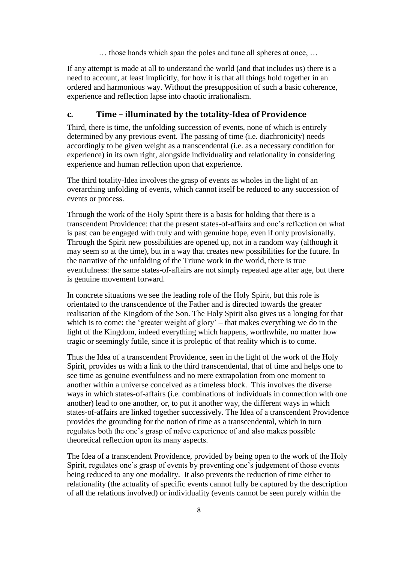… those hands which span the poles and tune all spheres at once, …

If any attempt is made at all to understand the world (and that includes us) there is a need to account, at least implicitly, for how it is that all things hold together in an ordered and harmonious way. Without the presupposition of such a basic coherence, experience and reflection lapse into chaotic irrationalism.

#### <span id="page-7-0"></span>**c. Time – illuminated by the totality-Idea of Providence**

Third, there is time, the unfolding succession of events, none of which is entirely determined by any previous event. The passing of time (i.e. diachronicity) needs accordingly to be given weight as a transcendental (i.e. as a necessary condition for experience) in its own right, alongside individuality and relationality in considering experience and human reflection upon that experience.

The third totality-Idea involves the grasp of events as wholes in the light of an overarching unfolding of events, which cannot itself be reduced to any succession of events or process.

Through the work of the Holy Spirit there is a basis for holding that there is a transcendent Providence: that the present states-of-affairs and one's reflection on what is past can be engaged with truly and with genuine hope, even if only provisionally. Through the Spirit new possibilities are opened up, not in a random way (although it may seem so at the time), but in a way that creates new possibilities for the future. In the narrative of the unfolding of the Triune work in the world, there is true eventfulness: the same states-of-affairs are not simply repeated age after age, but there is genuine movement forward.

In concrete situations we see the leading role of the Holy Spirit, but this role is orientated to the transcendence of the Father and is directed towards the greater realisation of the Kingdom of the Son. The Holy Spirit also gives us a longing for that which is to come: the 'greater weight of glory' – that makes everything we do in the light of the Kingdom, indeed everything which happens, worthwhile, no matter how tragic or seemingly futile, since it is proleptic of that reality which is to come.

Thus the Idea of a transcendent Providence, seen in the light of the work of the Holy Spirit, provides us with a link to the third transcendental, that of time and helps one to see time as genuine eventfulness and no mere extrapolation from one moment to another within a universe conceived as a timeless block. This involves the diverse ways in which states-of-affairs (i.e. combinations of individuals in connection with one another) lead to one another, or, to put it another way, the different ways in which states-of-affairs are linked together successively. The Idea of a transcendent Providence provides the grounding for the notion of time as a transcendental, which in turn regulates both the one's grasp of naïve experience of and also makes possible theoretical reflection upon its many aspects.

The Idea of a transcendent Providence, provided by being open to the work of the Holy Spirit, regulates one's grasp of events by preventing one's judgement of those events being reduced to any one modality. It also prevents the reduction of time either to relationality (the actuality of specific events cannot fully be captured by the description of all the relations involved) or individuality (events cannot be seen purely within the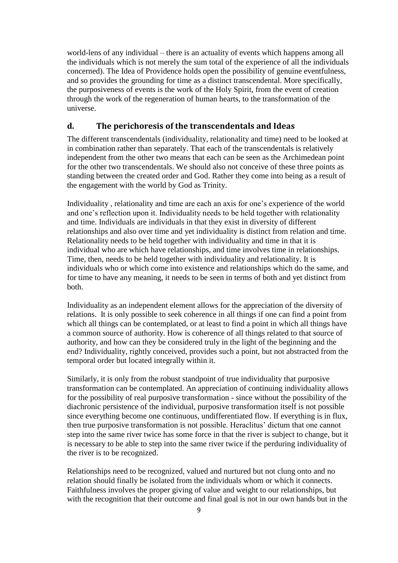world-lens of any individual – there is an actuality of events which happens among all the individuals which is not merely the sum total of the experience of all the individuals concerned). The Idea of Providence holds open the possibility of genuine eventfulness, and so provides the grounding for time as a distinct transcendental. More specifically, the purposiveness of events is the work of the Holy Spirit, from the event of creation through the work of the regeneration of human hearts, to the transformation of the universe.

#### **d. The perichoresis of the transcendentals and Ideas**

The different transcendentals (individuality, relationality and time) need to be looked at in combination rather than separately. That each of the transcendentals is relatively independent from the other two means that each can be seen as the Archimedean point for the other two transcendentals. We should also not conceive of these three points as standing between the created order and God. Rather they come into being as a result of the engagement with the world by God as Trinity.

Individuality , relationality and time are each an axis for one's experience of the world and one's reflection upon it. Individuality needs to be held together with relationality and time. Individuals are individuals in that they exist in diversity of different relationships and also over time and yet individuality is distinct from relation and time. Relationality needs to be held together with individuality and time in that it is individual who are which have relationships, and time involves time in relationships. Time, then, needs to be held together with individuality and relationality. It is individuals who or which come into existence and relationships which do the same, and for time to have any meaning, it needs to be seen in terms of both and yet distinct from both.

Individuality as an independent element allows for the appreciation of the diversity of relations. It is only possible to seek coherence in all things if one can find a point from which all things can be contemplated, or at least to find a point in which all things have a common source of authority. How is coherence of all things related to that source of authority, and how can they be considered truly in the light of the beginning and the end? Individuality, rightly conceived, provides such a point, but not abstracted from the temporal order but located integrally within it.

Similarly, it is only from the robust standpoint of true individuality that purposive transformation can be contemplated. An appreciation of continuing individuality allows for the possibility of real purposive transformation - since without the possibility of the diachronic persistence of the individual, purposive transformation itself is not possible since everything become one continuous, undifferentiated flow. If everything is in flux, then true purposive transformation is not possible. Heraclitus' dictum that one cannot step into the same river twice has some force in that the river is subject to change, but it is necessary to be able to step into the same river twice if the perduring individuality of the river is to be recognized.

Relationships need to be recognized, valued and nurtured but not clung onto and no relation should finally be isolated from the individuals whom or which it connects. Faithfulness involves the proper giving of value and weight to our relationships, but with the recognition that their outcome and final goal is not in our own hands but in the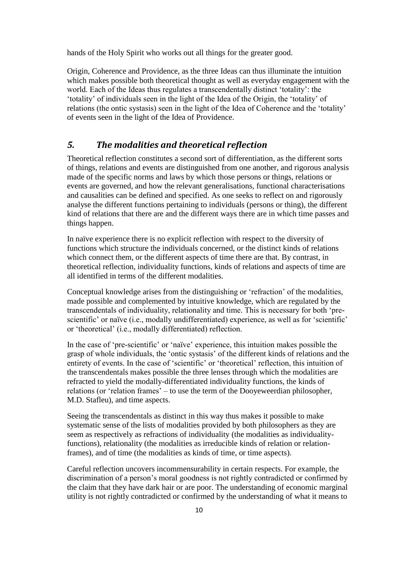hands of the Holy Spirit who works out all things for the greater good.

Origin, Coherence and Providence, as the three Ideas can thus illuminate the intuition which makes possible both theoretical thought as well as everyday engagement with the world. Each of the Ideas thus regulates a transcendentally distinct 'totality': the 'totality' of individuals seen in the light of the Idea of the Origin, the 'totality' of relations (the ontic systasis) seen in the light of the Idea of Coherence and the 'totality' of events seen in the light of the Idea of Providence.

## <span id="page-9-0"></span>*5. The modalities and theoretical reflection*

Theoretical reflection constitutes a second sort of differentiation, as the different sorts of things, relations and events are distinguished from one another, and rigorous analysis made of the specific norms and laws by which those persons or things, relations or events are governed, and how the relevant generalisations, functional characterisations and causalities can be defined and specified. As one seeks to reflect on and rigorously analyse the different functions pertaining to individuals (persons or thing), the different kind of relations that there are and the different ways there are in which time passes and things happen.

In naïve experience there is no explicit reflection with respect to the diversity of functions which structure the individuals concerned, or the distinct kinds of relations which connect them, or the different aspects of time there are that. By contrast, in theoretical reflection, individuality functions, kinds of relations and aspects of time are all identified in terms of the different modalities.

Conceptual knowledge arises from the distinguishing or 'refraction' of the modalities, made possible and complemented by intuitive knowledge, which are regulated by the transcendentals of individuality, relationality and time. This is necessary for both 'prescientific' or naïve (i.e., modally undifferentiated) experience, as well as for 'scientific' or 'theoretical' (i.e., modally differentiated) reflection.

In the case of 'pre-scientific' or 'naïve' experience, this intuition makes possible the grasp of whole individuals, the 'ontic systasis' of the different kinds of relations and the entirety of events. In the case of 'scientific' or 'theoretical' reflection, this intuition of the transcendentals makes possible the three lenses through which the modalities are refracted to yield the modally-differentiated individuality functions, the kinds of relations (or 'relation frames' – to use the term of the Dooyeweerdian philosopher, M.D. Stafleu), and time aspects.

Seeing the transcendentals as distinct in this way thus makes it possible to make systematic sense of the lists of modalities provided by both philosophers as they are seem as respectively as refractions of individuality (the modalities as individualityfunctions), relationality (the modalities as irreducible kinds of relation or relationframes), and of time (the modalities as kinds of time, or time aspects).

Careful reflection uncovers incommensurability in certain respects. For example, the discrimination of a person's moral goodness is not rightly contradicted or confirmed by the claim that they have dark hair or are poor. The understanding of economic marginal utility is not rightly contradicted or confirmed by the understanding of what it means to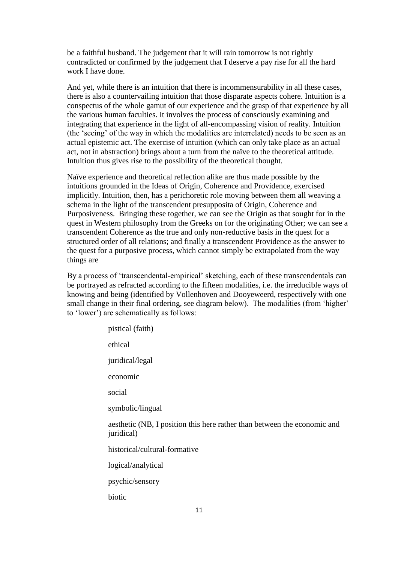be a faithful husband. The judgement that it will rain tomorrow is not rightly contradicted or confirmed by the judgement that I deserve a pay rise for all the hard work I have done.

And yet, while there is an intuition that there is incommensurability in all these cases, there is also a countervailing intuition that those disparate aspects cohere. Intuition is a conspectus of the whole gamut of our experience and the grasp of that experience by all the various human faculties. It involves the process of consciously examining and integrating that experience in the light of all-encompassing vision of reality. Intuition (the 'seeing' of the way in which the modalities are interrelated) needs to be seen as an actual epistemic act. The exercise of intuition (which can only take place as an actual act, not in abstraction) brings about a turn from the naïve to the theoretical attitude. Intuition thus gives rise to the possibility of the theoretical thought.

Naïve experience and theoretical reflection alike are thus made possible by the intuitions grounded in the Ideas of Origin, Coherence and Providence, exercised implicitly. Intuition, then, has a perichoretic role moving between them all weaving a schema in the light of the transcendent presupposita of Origin, Coherence and Purposiveness. Bringing these together, we can see the Origin as that sought for in the quest in Western philosophy from the Greeks on for the originating Other; we can see a transcendent Coherence as the true and only non-reductive basis in the quest for a structured order of all relations; and finally a transcendent Providence as the answer to the quest for a purposive process, which cannot simply be extrapolated from the way things are

By a process of 'transcendental-empirical' sketching, each of these transcendentals can be portrayed as refracted according to the fifteen modalities, i.e. the irreducible ways of knowing and being (identified by Vollenhoven and Dooyeweerd, respectively with one small change in their final ordering, see diagram below). The modalities (from 'higher' to 'lower') are schematically as follows:

pistical (faith) ethical juridical/legal economic social symbolic/lingual aesthetic (NB, I position this here rather than between the economic and juridical) historical/cultural-formative logical/analytical psychic/sensory biotic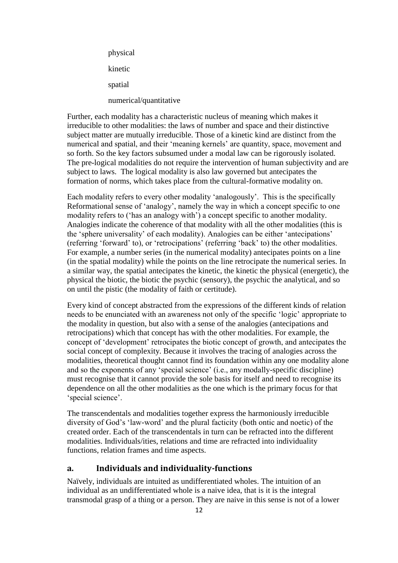physical kinetic spatial numerical/quantitative

Further, each modality has a characteristic nucleus of meaning which makes it irreducible to other modalities: the laws of number and space and their distinctive subject matter are mutually irreducible. Those of a kinetic kind are distinct from the numerical and spatial, and their 'meaning kernels' are quantity, space, movement and so forth. So the key factors subsumed under a modal law can be rigorously isolated. The pre-logical modalities do not require the intervention of human subjectivity and are subject to laws. The logical modality is also law governed but antecipates the formation of norms, which takes place from the cultural-formative modality on.

Each modality refers to every other modality 'analogously'. This is the specifically Reformational sense of 'analogy', namely the way in which a concept specific to one modality refers to ('has an analogy with') a concept specific to another modality. Analogies indicate the coherence of that modality with all the other modalities (this is the 'sphere universality' of each modality). Analogies can be either 'antecipations' (referring 'forward' to), or 'retrocipations' (referring 'back' to) the other modalities. For example, a number series (in the numerical modality) antecipates points on a line (in the spatial modality) while the points on the line retrocipate the numerical series. In a similar way, the spatial antecipates the kinetic, the kinetic the physical (energetic), the physical the biotic, the biotic the psychic (sensory), the psychic the analytical, and so on until the pistic (the modality of faith or certitude).

Every kind of concept abstracted from the expressions of the different kinds of relation needs to be enunciated with an awareness not only of the specific 'logic' appropriate to the modality in question, but also with a sense of the analogies (antecipations and retrocipations) which that concept has with the other modalities. For example, the concept of 'development' retrocipates the biotic concept of growth, and antecipates the social concept of complexity. Because it involves the tracing of analogies across the modalities, theoretical thought cannot find its foundation within any one modality alone and so the exponents of any 'special science' (i.e., any modally-specific discipline) must recognise that it cannot provide the sole basis for itself and need to recognise its dependence on all the other modalities as the one which is the primary focus for that 'special science'.

The transcendentals and modalities together express the harmoniously irreducible diversity of God's 'law-word' and the plural facticity (both ontic and noetic) of the created order. Each of the transcendentals in turn can be refracted into the different modalities. Individuals/ities, relations and time are refracted into individuality functions, relation frames and time aspects.

#### <span id="page-11-0"></span>**a. Individuals and individuality-functions**

Naïvely, individuals are intuited as undifferentiated wholes. The intuition of an individual as an undifferentiated whole is a naive idea, that is it is the integral transmodal grasp of a thing or a person. They are naive in this sense is not of a lower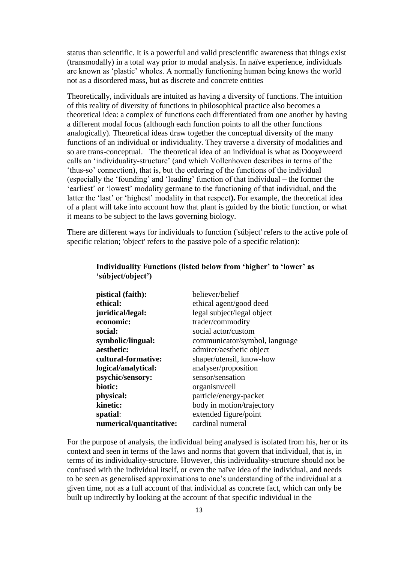status than scientific. It is a powerful and valid prescientific awareness that things exist (transmodally) in a total way prior to modal analysis. In naïve experience, individuals are known as 'plastic' wholes. A normally functioning human being knows the world not as a disordered mass, but as discrete and concrete entities

Theoretically, individuals are intuited as having a diversity of functions. The intuition of this reality of diversity of functions in philosophical practice also becomes a theoretical idea: a complex of functions each differentiated from one another by having a different modal focus (although each function points to all the other functions analogically). Theoretical ideas draw together the conceptual diversity of the many functions of an individual or individuality. They traverse a diversity of modalities and so are trans-conceptual. The theoretical idea of an individual is what as Dooyeweerd calls an 'individuality-structure' (and which Vollenhoven describes in terms of the 'thus-so' connection), that is, but the ordering of the functions of the individual (especially the 'founding' and 'leading' function of that individual – the former the 'earliest' or 'lowest' modality germane to the functioning of that individual, and the latter the 'last' or 'highest' modality in that respect**).** For example, the theoretical idea of a plant will take into account how that plant is guided by the biotic function, or what it means to be subject to the laws governing biology.

There are different ways for individuals to function ('súbject' refers to the active pole of specific relation; 'object' refers to the passive pole of a specific relation):

| pistical (faith):       | believer/belief               |
|-------------------------|-------------------------------|
| ethical:                | ethical agent/good deed       |
| juridical/legal:        | legal subject/legal object    |
| economic:               | trader/commodity              |
| social:                 | social actor/custom           |
| symbolic/lingual:       | communicator/symbol, language |
| aesthetic:              | admirer/aesthetic object      |
| cultural-formative:     | shaper/utensil, know-how      |
| logical/analytical:     | analyser/proposition          |
| psychic/sensory:        | sensor/sensation              |
| biotic:                 | organism/cell                 |
| physical:               | particle/energy-packet        |
| kinetic:                | body in motion/trajectory     |
| spatial:                | extended figure/point         |
| numerical/quantitative: | cardinal numeral              |

#### **Individuality Functions (listed below from 'higher' to 'lower' as 'súbject/object')**

For the purpose of analysis, the individual being analysed is isolated from his, her or its context and seen in terms of the laws and norms that govern that individual, that is, in terms of its individuality-structure. However, this individuality-structure should not be confused with the individual itself, or even the naïve idea of the individual, and needs to be seen as generalised approximations to one's understanding of the individual at a given time, not as a full account of that individual as concrete fact, which can only be built up indirectly by looking at the account of that specific individual in the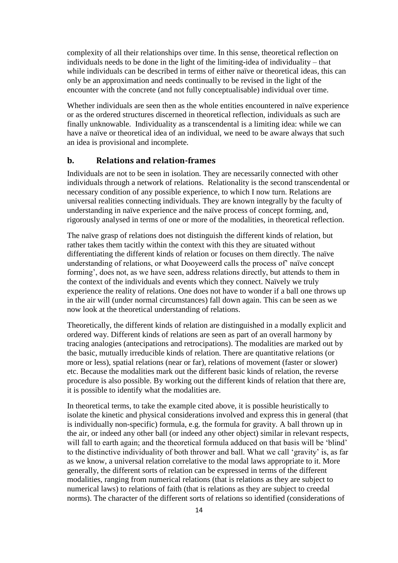complexity of all their relationships over time. In this sense, theoretical reflection on individuals needs to be done in the light of the limiting-idea of individuality – that while individuals can be described in terms of either naïve or theoretical ideas, this can only be an approximation and needs continually to be revised in the light of the encounter with the concrete (and not fully conceptualisable) individual over time.

Whether individuals are seen then as the whole entities encountered in naïve experience or as the ordered structures discerned in theoretical reflection, individuals as such are finally unknowable. Individuality as a transcendental is a limiting idea: while we can have a naïve or theoretical idea of an individual, we need to be aware always that such an idea is provisional and incomplete.

#### <span id="page-13-0"></span>**b. Relations and relation-frames**

Individuals are not to be seen in isolation. They are necessarily connected with other individuals through a network of relations. Relationality is the second transcendental or necessary condition of any possible experience, to which I now turn. Relations are universal realities connecting individuals. They are known integrally by the faculty of understanding in naïve experience and the naïve process of concept forming, and, rigorously analysed in terms of one or more of the modalities, in theoretical reflection.

The naïve grasp of relations does not distinguish the different kinds of relation, but rather takes them tacitly within the context with this they are situated without differentiating the different kinds of relation or focuses on them directly. The naïve understanding of relations, or what Dooyeweerd calls the process of' naïve concept forming', does not, as we have seen, address relations directly, but attends to them in the context of the individuals and events which they connect. Naïvely we truly experience the reality of relations. One does not have to wonder if a ball one throws up in the air will (under normal circumstances) fall down again. This can be seen as we now look at the theoretical understanding of relations.

Theoretically, the different kinds of relation are distinguished in a modally explicit and ordered way. Different kinds of relations are seen as part of an overall harmony by tracing analogies (antecipations and retrocipations). The modalities are marked out by the basic, mutually irreducible kinds of relation. There are quantitative relations (or more or less), spatial relations (near or far), relations of movement (faster or slower) etc. Because the modalities mark out the different basic kinds of relation, the reverse procedure is also possible. By working out the different kinds of relation that there are, it is possible to identify what the modalities are.

In theoretical terms, to take the example cited above, it is possible heuristically to isolate the kinetic and physical considerations involved and express this in general (that is individually non-specific) formula, e.g. the formula for gravity. A ball thrown up in the air, or indeed any other ball (or indeed any other object) similar in relevant respects, will fall to earth again; and the theoretical formula adduced on that basis will be 'blind' to the distinctive individuality of both thrower and ball. What we call 'gravity' is, as far as we know, a universal relation correlative to the modal laws appropriate to it. More generally, the different sorts of relation can be expressed in terms of the different modalities, ranging from numerical relations (that is relations as they are subject to numerical laws) to relations of faith (that is relations as they are subject to creedal norms). The character of the different sorts of relations so identified (considerations of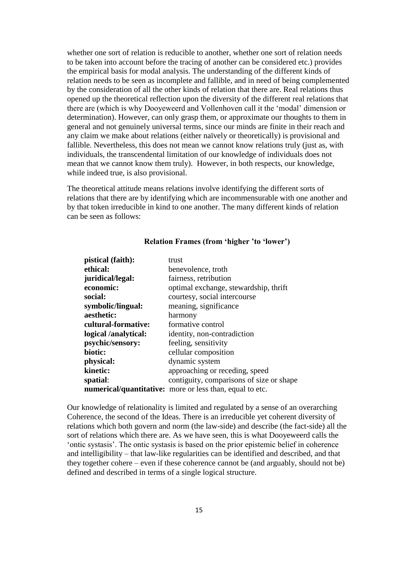whether one sort of relation is reducible to another, whether one sort of relation needs to be taken into account before the tracing of another can be considered etc.) provides the empirical basis for modal analysis. The understanding of the different kinds of relation needs to be seen as incomplete and fallible, and in need of being complemented by the consideration of all the other kinds of relation that there are. Real relations thus opened up the theoretical reflection upon the diversity of the different real relations that there are (which is why Dooyeweerd and Vollenhoven call it the 'modal' dimension or determination). However, can only grasp them, or approximate our thoughts to them in general and not genuinely universal terms, since our minds are finite in their reach and any claim we make about relations (either naïvely or theoretically) is provisional and fallible. Nevertheless, this does not mean we cannot know relations truly (just as, with individuals, the transcendental limitation of our knowledge of individuals does not mean that we cannot know them truly). However, in both respects, our knowledge, while indeed true, is also provisional.

The theoretical attitude means relations involve identifying the different sorts of relations that there are by identifying which are incommensurable with one another and by that token irreducible in kind to one another. The many different kinds of relation can be seen as follows:

| pistical (faith):    | trust                                                           |
|----------------------|-----------------------------------------------------------------|
| ethical:             | benevolence, troth                                              |
| juridical/legal:     | fairness, retribution                                           |
| economic:            | optimal exchange, stewardship, thrift                           |
| social:              | courtesy, social intercourse                                    |
| symbolic/lingual:    | meaning, significance                                           |
| aesthetic:           | harmony                                                         |
| cultural-formative:  | formative control                                               |
| logical /analytical: | identity, non-contradiction                                     |
| psychic/sensory:     | feeling, sensitivity                                            |
| biotic:              | cellular composition                                            |
| physical:            | dynamic system                                                  |
| kinetic:             | approaching or receding, speed                                  |
| spatial:             | contiguity, comparisons of size or shape                        |
|                      | <b>numerical/quantitative:</b> more or less than, equal to etc. |

#### **Relation Frames (from 'higher 'to 'lower')**

Our knowledge of relationality is limited and regulated by a sense of an overarching Coherence, the second of the Ideas. There is an irreducible yet coherent diversity of relations which both govern and norm (the law-side) and describe (the fact-side) all the sort of relations which there are. As we have seen, this is what Dooyeweerd calls the 'ontic systasis'. The ontic systasis is based on the prior epistemic belief in coherence and intelligibility – that law-like regularities can be identified and described, and that they together cohere – even if these coherence cannot be (and arguably, should not be) defined and described in terms of a single logical structure.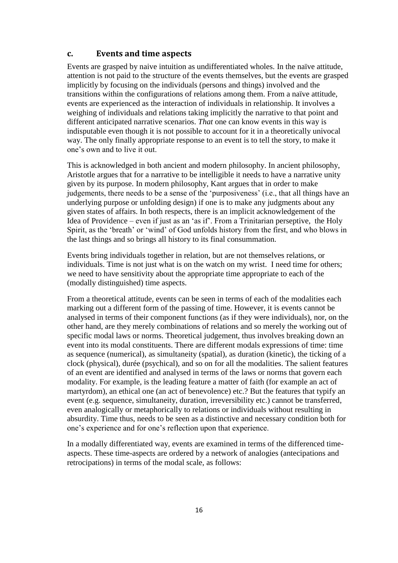#### <span id="page-15-0"></span>**c. Events and time aspects**

Events are grasped by naive intuition as undifferentiated wholes. In the naïve attitude, attention is not paid to the structure of the events themselves, but the events are grasped implicitly by focusing on the individuals (persons and things) involved and the transitions within the configurations of relations among them. From a naïve attitude, events are experienced as the interaction of individuals in relationship. It involves a weighing of individuals and relations taking implicitly the narrative to that point and different anticipated narrative scenarios. *That* one can know events in this way is indisputable even though it is not possible to account for it in a theoretically univocal way. The only finally appropriate response to an event is to tell the story, to make it one's own and to live it out.

This is acknowledged in both ancient and modern philosophy. In ancient philosophy, Aristotle argues that for a narrative to be intelligible it needs to have a narrative unity given by its purpose. In modern philosophy, Kant argues that in order to make judgements, there needs to be a sense of the 'purposiveness' (i.e., that all things have an underlying purpose or unfolding design) if one is to make any judgments about any given states of affairs. In both respects, there is an implicit acknowledgement of the Idea of Providence – even if just as an 'as if'. From a Trinitarian perseptive, the Holy Spirit, as the 'breath' or 'wind' of God unfolds history from the first, and who blows in the last things and so brings all history to its final consummation.

Events bring individuals together in relation, but are not themselves relations, or individuals. Time is not just what is on the watch on my wrist. I need time for others; we need to have sensitivity about the appropriate time appropriate to each of the (modally distinguished) time aspects.

From a theoretical attitude, events can be seen in terms of each of the modalities each marking out a different form of the passing of time. However, it is events cannot be analysed in terms of their component functions (as if they were individuals), nor, on the other hand, are they merely combinations of relations and so merely the working out of specific modal laws or norms. Theoretical judgement, thus involves breaking down an event into its modal constituents. There are different modals expressions of time: time as sequence (numerical), as simultaneity (spatial), as duration (kinetic), the ticking of a clock (physical), durée (psychical), and so on for all the modalities. The salient features of an event are identified and analysed in terms of the laws or norms that govern each modality. For example, is the leading feature a matter of faith (for example an act of martyrdom), an ethical one (an act of benevolence) etc.? But the features that typify an event (e.g. sequence, simultaneity, duration, irreversibility etc.) cannot be transferred, even analogically or metaphorically to relations or individuals without resulting in absurdity. Time thus, needs to be seen as a distinctive and necessary condition both for one's experience and for one's reflection upon that experience.

In a modally differentiated way, events are examined in terms of the differenced timeaspects. These time-aspects are ordered by a network of analogies (antecipations and retrocipations) in terms of the modal scale, as follows: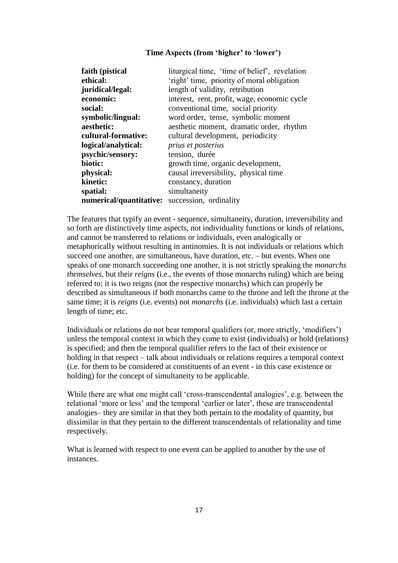#### **Time Aspects (from 'higher' to 'lower')**

| faith (pistical         | liturgical time, 'time of belief', revelation |
|-------------------------|-----------------------------------------------|
| ethical:                | 'right' time, priority of moral obligation    |
| juridical/legal:        | length of validity, retribution               |
| economic:               | interest, rent, profit, wage, economic cycle  |
| social:                 | conventional time, social priority            |
| symbolic/lingual:       | word order, tense, symbolic moment            |
| aesthetic:              | aesthetic moment, dramatic order, rhythm      |
| cultural-formative:     | cultural development, periodicity             |
| logical/analytical:     | prius et posterius                            |
| psychic/sensory:        | tension, durée                                |
| biotic:                 | growth time, organic development,             |
| physical:               | causal irreversibility, physical time         |
| kinetic:                | constancy, duration                           |
| spatial:                | simultaneity                                  |
| numerical/quantitative: | succession, ordinality                        |

The features that typify an event - sequence, simultaneity, duration, irreversibility and so forth are distinctively time aspects, not individuality functions or kinds of relations, and cannot be transferred to relations or individuals, even analogically or metaphorically without resulting in antinomies. It is not individuals or relations which succeed one another, are simultaneous, have duration, etc. – but events. When one speaks of one monarch succeeding one another, it is not strictly speaking the *monarchs themselves,* but their *reigns* (i.e., the events of those monarchs ruling) which are being referred to; it is two reigns (not the respective monarchs) which can properly be described as simultaneous if both monarchs came to the throne and left the throne at the same time; it is *reigns* (i.e. events) not *monarchs* (i.e. individuals) which last a certain length of time; etc.

Individuals or relations do not bear temporal qualifiers (or, more strictly, 'modifiers') unless the temporal context in which they come to exist (individuals) or hold (relations) is specified; and then the temporal qualifier refers to the fact of their existence or holding in that respect – talk about individuals or relations requires a temporal context (i.e. for them to be considered at constituents of an event - in this case existence or holding) for the concept of simultaneity to be applicable.

While there are what one might call 'cross-transcendental analogies', e.g. between the relational 'more or less' and the temporal 'earlier or later', these are transcendental analogies– they are similar in that they both pertain to the modality of quantity, but dissimilar in that they pertain to the different transcendentals of relationality and time respectively.

What is learned with respect to one event can be applied to another by the use of instances.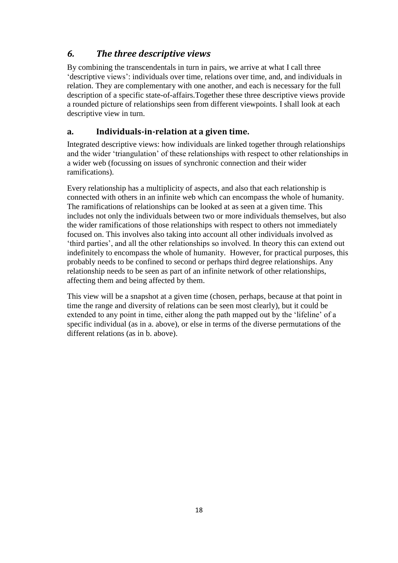## <span id="page-17-0"></span>*6. The three descriptive views*

By combining the transcendentals in turn in pairs, we arrive at what I call three 'descriptive views': individuals over time, relations over time, and, and individuals in relation. They are complementary with one another, and each is necessary for the full description of a specific state-of-affairs.Together these three descriptive views provide a rounded picture of relationships seen from different viewpoints. I shall look at each descriptive view in turn.

## <span id="page-17-1"></span>**a. Individuals-in-relation at a given time.**

Integrated descriptive views: how individuals are linked together through relationships and the wider 'triangulation' of these relationships with respect to other relationships in a wider web (focussing on issues of synchronic connection and their wider ramifications).

Every relationship has a multiplicity of aspects, and also that each relationship is connected with others in an infinite web which can encompass the whole of humanity. The ramifications of relationships can be looked at as seen at a given time. This includes not only the individuals between two or more individuals themselves, but also the wider ramifications of those relationships with respect to others not immediately focused on. This involves also taking into account all other individuals involved as 'third parties', and all the other relationships so involved. In theory this can extend out indefinitely to encompass the whole of humanity. However, for practical purposes, this probably needs to be confined to second or perhaps third degree relationships. Any relationship needs to be seen as part of an infinite network of other relationships, affecting them and being affected by them.

This view will be a snapshot at a given time (chosen, perhaps, because at that point in time the range and diversity of relations can be seen most clearly), but it could be extended to any point in time, either along the path mapped out by the 'lifeline' of a specific individual (as in a. above), or else in terms of the diverse permutations of the different relations (as in b. above).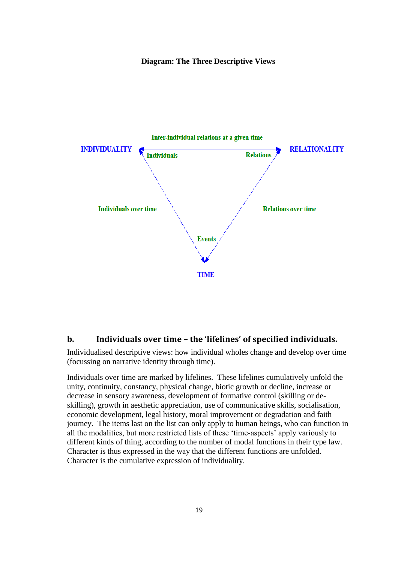#### **Diagram: The Three Descriptive Views**



#### **b. Individuals over time – the 'lifelines' of specified individuals.**

Individualised descriptive views: how individual wholes change and develop over time (focussing on narrative identity through time).

Individuals over time are marked by lifelines. These lifelines cumulatively unfold the unity, continuity, constancy, physical change, biotic growth or decline, increase or decrease in sensory awareness, development of formative control (skilling or deskilling), growth in aesthetic appreciation, use of communicative skills, socialisation, economic development, legal history, moral improvement or degradation and faith journey. The items last on the list can only apply to human beings, who can function in all the modalities, but more restricted lists of these 'time-aspects' apply variously to different kinds of thing, according to the number of modal functions in their type law. Character is thus expressed in the way that the different functions are unfolded. Character is the cumulative expression of individuality.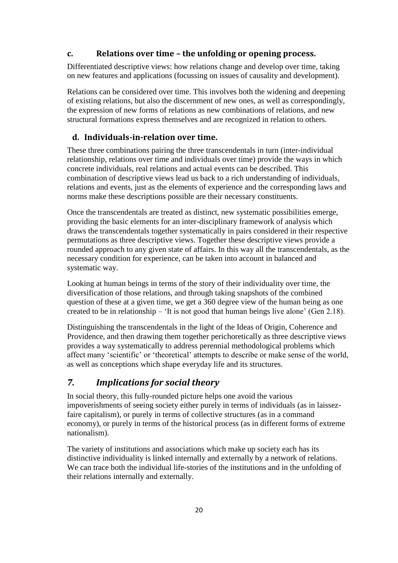### <span id="page-19-0"></span>**c. Relations over time – the unfolding or opening process.**

Differentiated descriptive views: how relations change and develop over time, taking on new features and applications (focussing on issues of causality and development).

Relations can be considered over time. This involves both the widening and deepening of existing relations, but also the discernment of new ones, as well as correspondingly, the expression of new forms of relations as new combinations of relations, and new structural formations express themselves and are recognized in relation to others.

#### **d. Individuals-in-relation over time.**

<span id="page-19-1"></span>These three combinations pairing the three transcendentals in turn (inter-individual relationship, relations over time and individuals over time) provide the ways in which concrete individuals, real relations and actual events can be described. This combination of descriptive views lead us back to a rich understanding of individuals, relations and events, just as the elements of experience and the corresponding laws and norms make these descriptions possible are their necessary constituents.

Once the transcendentals are treated as distinct, new systematic possibilities emerge, providing the basic elements for an inter-disciplinary framework of analysis which draws the transcendentals together systematically in pairs considered in their respective permutations as three descriptive views. Together these descriptive views provide a rounded approach to any given state of affairs. In this way all the transcendentals, as the necessary condition for experience, can be taken into account in balanced and systematic way.

Looking at human beings in terms of the story of their individuality over time, the diversification of those relations, and through taking snapshots of the combined question of these at a given time, we get a 360 degree view of the human being as one created to be in relationship – 'It is not good that human beings live alone' (Gen 2.18).

Distinguishing the transcendentals in the light of the Ideas of Origin, Coherence and Providence, and then drawing them together perichoretically as three descriptive views provides a way systematically to address perennial methodological problems which affect many 'scientific' or 'theoretical' attempts to describe or make sense of the world, as well as conceptions which shape everyday life and its structures.

## <span id="page-19-2"></span>*7. Implications for social theory*

In social theory, this fully-rounded picture helps one avoid the various impoverishments of seeing society either purely in terms of individuals (as in laissezfaire capitalism), or purely in terms of collective structures (as in a command economy), or purely in terms of the historical process (as in different forms of extreme nationalism).

The variety of institutions and associations which make up society each has its distinctive individuality is linked internally and externally by a network of relations. We can trace both the individual life-stories of the institutions and in the unfolding of their relations internally and externally.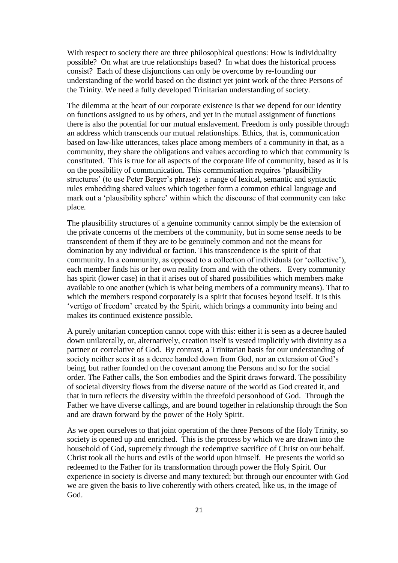With respect to society there are three philosophical questions: How is individuality possible? On what are true relationships based? In what does the historical process consist? Each of these disjunctions can only be overcome by re-founding our understanding of the world based on the distinct yet joint work of the three Persons of the Trinity. We need a fully developed Trinitarian understanding of society.

The dilemma at the heart of our corporate existence is that we depend for our identity on functions assigned to us by others, and yet in the mutual assignment of functions there is also the potential for our mutual enslavement. Freedom is only possible through an address which transcends our mutual relationships. Ethics, that is, communication based on law-like utterances, takes place among members of a community in that, as a community, they share the obligations and values according to which that community is constituted. This is true for all aspects of the corporate life of community, based as it is on the possibility of communication. This communication requires 'plausibility structures' (to use Peter Berger's phrase): a range of lexical, semantic and syntactic rules embedding shared values which together form a common ethical language and mark out a 'plausibility sphere' within which the discourse of that community can take place.

The plausibility structures of a genuine community cannot simply be the extension of the private concerns of the members of the community, but in some sense needs to be transcendent of them if they are to be genuinely common and not the means for domination by any individual or faction. This transcendence is the spirit of that community. In a community, as opposed to a collection of individuals (or 'collective'), each member finds his or her own reality from and with the others. Every community has spirit (lower case) in that it arises out of shared possibilities which members make available to one another (which is what being members of a community means). That to which the members respond corporately is a spirit that focuses beyond itself. It is this 'vertigo of freedom' created by the Spirit, which brings a community into being and makes its continued existence possible.

A purely unitarian conception cannot cope with this: either it is seen as a decree hauled down unilaterally, or, alternatively, creation itself is vested implicitly with divinity as a partner or correlative of God. By contrast, a Trinitarian basis for our understanding of society neither sees it as a decree handed down from God, nor an extension of God's being, but rather founded on the covenant among the Persons and so for the social order. The Father calls, the Son embodies and the Spirit draws forward. The possibility of societal diversity flows from the diverse nature of the world as God created it, and that in turn reflects the diversity within the threefold personhood of God. Through the Father we have diverse callings, and are bound together in relationship through the Son and are drawn forward by the power of the Holy Spirit.

As we open ourselves to that joint operation of the three Persons of the Holy Trinity, so society is opened up and enriched. This is the process by which we are drawn into the household of God, supremely through the redemptive sacrifice of Christ on our behalf. Christ took all the hurts and evils of the world upon himself. He presents the world so redeemed to the Father for its transformation through power the Holy Spirit. Our experience in society is diverse and many textured; but through our encounter with God we are given the basis to live coherently with others created, like us, in the image of God.